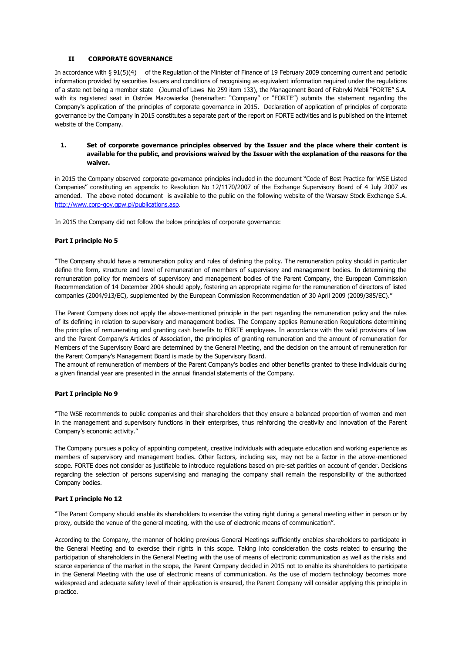# **II CORPORATE GOVERNANCE**

In accordance with § 91(5)(4) of the Regulation of the Minister of Finance of 19 February 2009 concerning current and periodic information provided by securities Issuers and conditions of recognising as equivalent information required under the regulations of a state not being a member state (Journal of Laws No 259 item 133), the Management Board of Fabryki Mebli "FORTE" S.A. with its registered seat in Ostrów Mazowiecka (hereinafter: "Company" or "FORTE") submits the statement regarding the Company's application of the principles of corporate governance in 2015. Declaration of application of principles of corporate governance by the Company in 2015 constitutes a separate part of the report on FORTE activities and is published on the internet website of the Company.

# **1. Set of corporate governance principles observed by the Issuer and the place where their content is available for the public, and provisions waived by the Issuer with the explanation of the reasons for the waiver.**

in 2015 the Company observed corporate governance principles included in the document "Code of Best Practice for WSE Listed Companies" constituting an appendix to Resolution No 12/1170/2007 of the Exchange Supervisory Board of 4 July 2007 as amended. The above noted document is available to the public on the following website of the Warsaw Stock Exchange S.A. [http://www.corp-gov.gpw.pl/publications.asp.](http://www.corp-gov.gpw.pl/publications.asp)

In 2015 the Company did not follow the below principles of corporate governance:

# **Part I principle No 5**

"The Company should have a remuneration policy and rules of defining the policy. The remuneration policy should in particular define the form, structure and level of remuneration of members of supervisory and management bodies. In determining the remuneration policy for members of supervisory and management bodies of the Parent Company, the European Commission Recommendation of 14 December 2004 should apply, fostering an appropriate regime for the remuneration of directors of listed companies (2004/913/EC), supplemented by the European Commission Recommendation of 30 April 2009 (2009/385/EC)."

The Parent Company does not apply the above-mentioned principle in the part regarding the remuneration policy and the rules of its defining in relation to supervisory and management bodies. The Company applies Remuneration Regulations determining the principles of remunerating and granting cash benefits to FORTE employees. In accordance with the valid provisions of law and the Parent Company's Articles of Association, the principles of granting remuneration and the amount of remuneration for Members of the Supervisory Board are determined by the General Meeting, and the decision on the amount of remuneration for the Parent Company's Management Board is made by the Supervisory Board.

The amount of remuneration of members of the Parent Company's bodies and other benefits granted to these individuals during a given financial year are presented in the annual financial statements of the Company.

# **Part I principle No 9**

"The WSE recommends to public companies and their shareholders that they ensure a balanced proportion of women and men in the management and supervisory functions in their enterprises, thus reinforcing the creativity and innovation of the Parent Company's economic activity."

The Company pursues a policy of appointing competent, creative individuals with adequate education and working experience as members of supervisory and management bodies. Other factors, including sex, may not be a factor in the above-mentioned scope. FORTE does not consider as justifiable to introduce regulations based on pre-set parities on account of gender. Decisions regarding the selection of persons supervising and managing the company shall remain the responsibility of the authorized Company bodies.

# **Part I principle No 12**

"The Parent Company should enable its shareholders to exercise the voting right during a general meeting either in person or by proxy, outside the venue of the general meeting, with the use of electronic means of communication".

According to the Company, the manner of holding previous General Meetings sufficiently enables shareholders to participate in the General Meeting and to exercise their rights in this scope. Taking into consideration the costs related to ensuring the participation of shareholders in the General Meeting with the use of means of electronic communication as well as the risks and scarce experience of the market in the scope, the Parent Company decided in 2015 not to enable its shareholders to participate in the General Meeting with the use of electronic means of communication. As the use of modern technology becomes more widespread and adequate safety level of their application is ensured, the Parent Company will consider applying this principle in practice.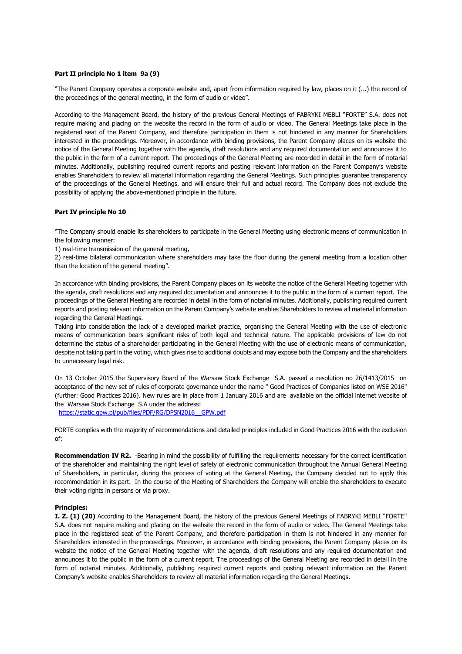#### **Part II principle No 1 item 9a (9)**

"The Parent Company operates a corporate website and, apart from information required by law, places on it (...) the record of the proceedings of the general meeting, in the form of audio or video".

According to the Management Board, the history of the previous General Meetings of FABRYKI MEBLI "FORTE" S.A. does not require making and placing on the website the record in the form of audio or video. The General Meetings take place in the registered seat of the Parent Company, and therefore participation in them is not hindered in any manner for Shareholders interested in the proceedings. Moreover, in accordance with binding provisions, the Parent Company places on its website the notice of the General Meeting together with the agenda, draft resolutions and any required documentation and announces it to the public in the form of a current report. The proceedings of the General Meeting are recorded in detail in the form of notarial minutes. Additionally, publishing required current reports and posting relevant information on the Parent Company's website enables Shareholders to review all material information regarding the General Meetings. Such principles guarantee transparency of the proceedings of the General Meetings, and will ensure their full and actual record. The Company does not exclude the possibility of applying the above-mentioned principle in the future.

#### **Part IV principle No 10**

"The Company should enable its shareholders to participate in the General Meeting using electronic means of communication in the following manner:

1) real-time transmission of the general meeting,

2) real-time bilateral communication where shareholders may take the floor during the general meeting from a location other than the location of the general meeting".

In accordance with binding provisions, the Parent Company places on its website the notice of the General Meeting together with the agenda, draft resolutions and any required documentation and announces it to the public in the form of a current report. The proceedings of the General Meeting are recorded in detail in the form of notarial minutes. Additionally, publishing required current reports and posting relevant information on the Parent Company's website enables Shareholders to review all material information regarding the General Meetings.

Taking into consideration the lack of a developed market practice, organising the General Meeting with the use of electronic means of communication bears significant risks of both legal and technical nature. The applicable provisions of law do not determine the status of a shareholder participating in the General Meeting with the use of electronic means of communication, despite not taking part in the voting, which gives rise to additional doubts and may expose both the Company and the shareholders to unnecessary legal risk.

On 13 October 2015 the Supervisory Board of the Warsaw Stock Exchange S.A. passed a resolution no 26/1413/2015 on acceptance of the new set of rules of corporate governance under the name " Good Practices of Companies listed on WSE 2016" (further: Good Practices 2016). New rules are in place from 1 January 2016 and are available on the official internet website of the Warsaw Stock Exchange S.A under the address:

[https://static.gpw.pl/pub/files/PDF/RG/DPSN2016\\_\\_GPW.pdf](https://static.gpw.pl/pub/files/PDF/RG/DPSN2016__GPW.pdf)

FORTE complies with the majority of recommendations and detailed principles included in Good Practices 2016 with the exclusion of:

**Recommendation IV R2.** -Bearing in mind the possibility of fulfilling the requirements necessary for the correct identification of the shareholder and maintaining the right level of safety of electronic communication throughout the Annual General Meeting of Shareholders, in particular, during the process of voting at the General Meeting, the Company decided not to apply this recommendation in its part. In the course of the Meeting of Shareholders the Company will enable the shareholders to execute their voting rights in persons or via proxy.

#### **Principles:**

**I. Z. (1) (20)** According to the Management Board, the history of the previous General Meetings of FABRYKI MEBLI "FORTE" S.A. does not require making and placing on the website the record in the form of audio or video. The General Meetings take place in the registered seat of the Parent Company, and therefore participation in them is not hindered in any manner for Shareholders interested in the proceedings. Moreover, in accordance with binding provisions, the Parent Company places on its website the notice of the General Meeting together with the agenda, draft resolutions and any required documentation and announces it to the public in the form of a current report. The proceedings of the General Meeting are recorded in detail in the form of notarial minutes. Additionally, publishing required current reports and posting relevant information on the Parent Company's website enables Shareholders to review all material information regarding the General Meetings.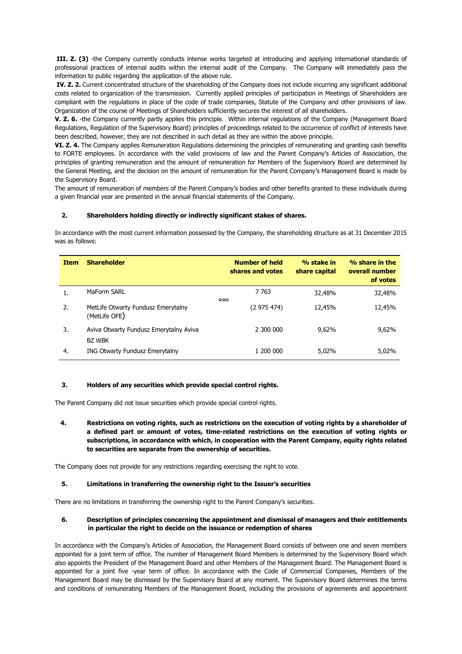**III. Z. (3)** -the Company currently conducts intense works targeted at introducing and applying international standards of professional practices of internal audits within the internal audit of the Company. The Company will immediately pass the information to public regarding the application of the above rule.

**IV. Z. 2.** Current concentrated structure of the shareholding of the Company does not include incurring any significant additional costs related to organization of the transmission. Currently applied principles of participation in Meetings of Shareholders are compliant with the regulations in place of the code of trade companies, Statute of the Company and other provisions of law. Organization of the course of Meetings of Shareholders sufficiently secures the interest of all shareholders.

**V. Z. 6.** -the Company currently partly applies this principle. Within internal regulations of the Company (Management Board Regulations, Regulation of the Supervisory Board) principles of proceedings related to the occurrence of conflict of interests have been described, however, they are not described in such detail as they are within the above principle.

**VI. Z. 4.** The Company applies Remuneration Regulations determining the principles of remunerating and granting cash benefits to FORTE employees. In accordance with the valid provisions of law and the Parent Company's Articles of Association, the principles of granting remuneration and the amount of remuneration for Members of the Supervisory Board are determined by the General Meeting, and the decision on the amount of remuneration for the Parent Company's Management Board is made by the Supervisory Board.

The amount of remuneration of members of the Parent Company's bodies and other benefits granted to these individuals during a given financial year are presented in the annual financial statements of the Company.

# **2. Shareholders holding directly or indirectly significant stakes of shares.**

In accordance with the most current information possessed by the Company, the shareholding structure as at 31 December 2015 was as follows:

| <b>Item</b> | <b>Shareholder</b>                                      |     | <b>Number of held</b><br>shares and votes | % stake in<br>share capital | % share in the<br>overall number<br>of votes |
|-------------|---------------------------------------------------------|-----|-------------------------------------------|-----------------------------|----------------------------------------------|
| 1.          | MaForm SARL                                             | 000 | 7 7 6 3                                   | 32,48%                      | 32,48%                                       |
| 2.          | MetLife Otwarty Fundusz Emerytalny<br>(MetLife OFE)     |     | (2 975 474)                               | 12,45%                      | 12,45%                                       |
| 3.          | Aviva Otwarty Fundusz Emerytalny Aviva<br><b>BZ WBK</b> |     | 2 300 000                                 | 9,62%                       | 9,62%                                        |
| 4.          | ING Otwarty Fundusz Emerytalny                          |     | 1 200 000                                 | 5,02%                       | 5,02%                                        |

# **3. Holders of any securities which provide special control rights.**

The Parent Company did not issue securities which provide special control rights.

**4. Restrictions on voting rights, such as restrictions on the execution of voting rights by a shareholder of a defined part or amount of votes, time-related restrictions on the execution of voting rights or subscriptions, in accordance with which, in cooperation with the Parent Company, equity rights related to securities are separate from the ownership of securities.**

The Company does not provide for any restrictions regarding exercising the right to vote.

# **5. Limitations in transferring the ownership right to the Issuer's securities**

There are no limitations in transferring the ownership right to the Parent Company's securities.

# **6. Description of principles concerning the appointment and dismissal of managers and their entitlements in particular the right to decide on the issuance or redemption of shares**

In accordance with the Company's Articles of Association, the Management Board consists of between one and seven members appointed for a joint term of office. The number of Management Board Members is determined by the Supervisory Board which also appoints the President of the Management Board and other Members of the Management Board. The Management Board is appointed for a joint five -year term of office. In accordance with the Code of Commercial Companies, Members of the Management Board may be dismissed by the Supervisory Board at any moment. The Supervisory Board determines the terms and conditions of remunerating Members of the Management Board, including the provisions of agreements and appointment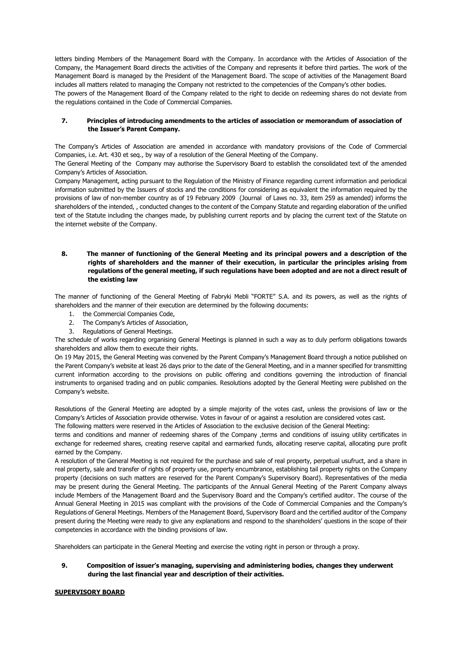letters binding Members of the Management Board with the Company. In accordance with the Articles of Association of the Company, the Management Board directs the activities of the Company and represents it before third parties. The work of the Management Board is managed by the President of the Management Board. The scope of activities of the Management Board includes all matters related to managing the Company not restricted to the competencies of the Company's other bodies. The powers of the Management Board of the Company related to the right to decide on redeeming shares do not deviate from the regulations contained in the Code of Commercial Companies.

# **7. Principles of introducing amendments to the articles of association or memorandum of association of the Issuer's Parent Company.**

The Company's Articles of Association are amended in accordance with mandatory provisions of the Code of Commercial Companies, i.e. Art. 430 et seq., by way of a resolution of the General Meeting of the Company.

The General Meeting of the Company may authorise the Supervisory Board to establish the consolidated text of the amended Company's Articles of Association.

Company Management, acting pursuant to the Regulation of the Ministry of Finance regarding current information and periodical information submitted by the Issuers of stocks and the conditions for considering as equivalent the information required by the provisions of law of non-member country as of 19 February 2009 (Journal of Laws no. 33, item 259 as amended) informs the shareholders of the intended, , conducted changes to the content of the Company Statute and regarding elaboration of the unified text of the Statute including the changes made, by publishing current reports and by placing the current text of the Statute on the internet website of the Company.

# **8. The manner of functioning of the General Meeting and its principal powers and a description of the rights of shareholders and the manner of their execution, in particular the principles arising from regulations of the general meeting, if such regulations have been adopted and are not a direct result of the existing law**

The manner of functioning of the General Meeting of Fabryki Mebli "FORTE" S.A. and its powers, as well as the rights of shareholders and the manner of their execution are determined by the following documents:

- 1. the Commercial Companies Code,
- 2. The Company's Articles of Association,
- 3. Regulations of General Meetings.

The schedule of works regarding organising General Meetings is planned in such a way as to duly perform obligations towards shareholders and allow them to execute their rights.

On 19 May 2015, the General Meeting was convened by the Parent Company's Management Board through a notice published on the Parent Company's website at least 26 days prior to the date of the General Meeting, and in a manner specified for transmitting current information according to the provisions on public offering and conditions governing the introduction of financial instruments to organised trading and on public companies. Resolutions adopted by the General Meeting were published on the Company's website.

Resolutions of the General Meeting are adopted by a simple majority of the votes cast, unless the provisions of law or the Company's Articles of Association provide otherwise. Votes in favour of or against a resolution are considered votes cast.

The following matters were reserved in the Articles of Association to the exclusive decision of the General Meeting:

terms and conditions and manner of redeeming shares of the Company ,terms and conditions of issuing utility certificates in exchange for redeemed shares, creating reserve capital and earmarked funds, allocating reserve capital, allocating pure profit earned by the Company.

A resolution of the General Meeting is not required for the purchase and sale of real property, perpetual usufruct, and a share in real property, sale and transfer of rights of property use, property encumbrance, establishing tail property rights on the Company property (decisions on such matters are reserved for the Parent Company's Supervisory Board). Representatives of the media may be present during the General Meeting. The participants of the Annual General Meeting of the Parent Company always include Members of the Management Board and the Supervisory Board and the Company's certified auditor. The course of the Annual General Meeting in 2015 was compliant with the provisions of the Code of Commercial Companies and the Company's Regulations of General Meetings. Members of the Management Board, Supervisory Board and the certified auditor of the Company present during the Meeting were ready to give any explanations and respond to the shareholders' questions in the scope of their competencies in accordance with the binding provisions of law.

Shareholders can participate in the General Meeting and exercise the voting right in person or through a proxy.

**9. Composition of issuer's managing, supervising and administering bodies, changes they underwent during the last financial year and description of their activities.**

# **SUPERVISORY BOARD**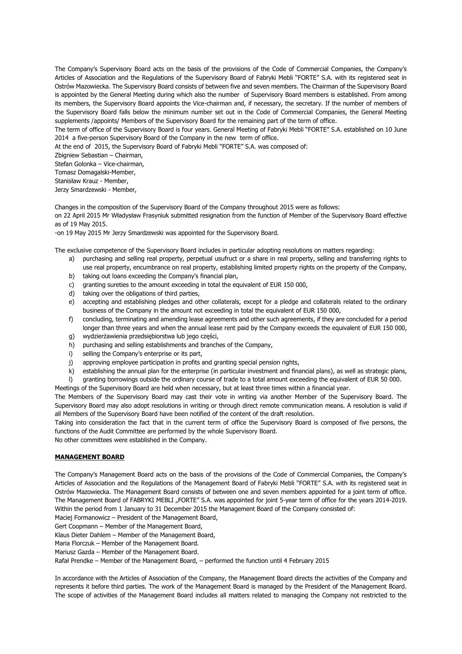The Company's Supervisory Board acts on the basis of the provisions of the Code of Commercial Companies, the Company's Articles of Association and the Regulations of the Supervisory Board of Fabryki Mebli "FORTE" S.A. with its registered seat in Ostrów Mazowiecka. The Supervisory Board consists of between five and seven members. The Chairman of the Supervisory Board is appointed by the General Meeting during which also the number of Supervisory Board members is established. From among its members, the Supervisory Board appoints the Vice-chairman and, if necessary, the secretary. If the number of members of the Supervisory Board falls below the minimum number set out in the Code of Commercial Companies, the General Meeting supplements /appoints/ Members of the Supervisory Board for the remaining part of the term of office.

The term of office of the Supervisory Board is four years. General Meeting of Fabryki Mebli "FORTE" S.A. established on 10 June 2014 a five-person Supervisory Board of the Company in the new term of office.

At the end of 2015, the Supervisory Board of Fabryki Mebli "FORTE" S.A. was composed of:

Zbigniew Sebastian – Chairman,

Stefan Golonka – Vice-chairman,

Tomasz Domagalski-Member,

Stanisław Krauz - Member,

Jerzy Smardzewski - Member,

Changes in the composition of the Supervisory Board of the Company throughout 2015 were as follows:

on 22 April 2015 Mr Władysław Frasyniuk submitted resignation from the function of Member of the Supervisory Board effective as of 19 May 2015.

-on 19 May 2015 Mr Jerzy Smardzewski was appointed for the Supervisory Board.

The exclusive competence of the Supervisory Board includes in particular adopting resolutions on matters regarding:

- a) purchasing and selling real property, perpetual usufruct or a share in real property, selling and transferring rights to use real property, encumbrance on real property, establishing limited property rights on the property of the Company,
- b) taking out loans exceeding the Company's financial plan,
- c) granting sureties to the amount exceeding in total the equivalent of EUR 150 000,
- d) taking over the obligations of third parties,
- e) accepting and establishing pledges and other collaterals, except for a pledge and collaterals related to the ordinary business of the Company in the amount not exceeding in total the equivalent of EUR 150 000,
- f) concluding, terminating and amending lease agreements and other such agreements, if they are concluded for a period longer than three years and when the annual lease rent paid by the Company exceeds the equivalent of EUR 150 000,
- g) wydzierżawienia przedsiębiorstwa lub jego części,
- h) purchasing and selling establishments and branches of the Company,
- i) selling the Company's enterprise or its part,
- j) approving employee participation in profits and granting special pension rights,
- k) establishing the annual plan for the enterprise (in particular investment and financial plans), as well as strategic plans,
- l) granting borrowings outside the ordinary course of trade to a total amount exceeding the equivalent of EUR 50 000.
- Meetings of the Supervisory Board are held when necessary, but at least three times within a financial year.

The Members of the Supervisory Board may cast their vote in writing via another Member of the Supervisory Board. The Supervisory Board may also adopt resolutions in writing or through direct remote communication means. A resolution is valid if all Members of the Supervisory Board have been notified of the content of the draft resolution.

Taking into consideration the fact that in the current term of office the Supervisory Board is composed of five persons, the functions of the Audit Committee are performed by the whole Supervisory Board.

No other committees were established in the Company.

# **MANAGEMENT BOARD**

The Company's Management Board acts on the basis of the provisions of the Code of Commercial Companies, the Company's Articles of Association and the Regulations of the Management Board of Fabryki Mebli "FORTE" S.A. with its registered seat in Ostrów Mazowiecka. The Management Board consists of between one and seven members appointed for a joint term of office. The Management Board of FABRYKI MEBLI "FORTE" S.A. was appointed for joint 5-year term of office for the years 2014-2019. Within the period from 1 January to 31 December 2015 the Management Board of the Company consisted of:

Maciej Formanowicz – President of the Management Board,

Gert Coopmann – Member of the Management Board,

Klaus Dieter Dahlem – Member of the Management Board,

Maria Florczuk – Member of the Management Board.

Mariusz Gazda – Member of the Management Board.

Rafał Prendke – Member of the Management Board, – performed the function until 4 February 2015

In accordance with the Articles of Association of the Company, the Management Board directs the activities of the Company and represents it before third parties. The work of the Management Board is managed by the President of the Management Board. The scope of activities of the Management Board includes all matters related to managing the Company not restricted to the